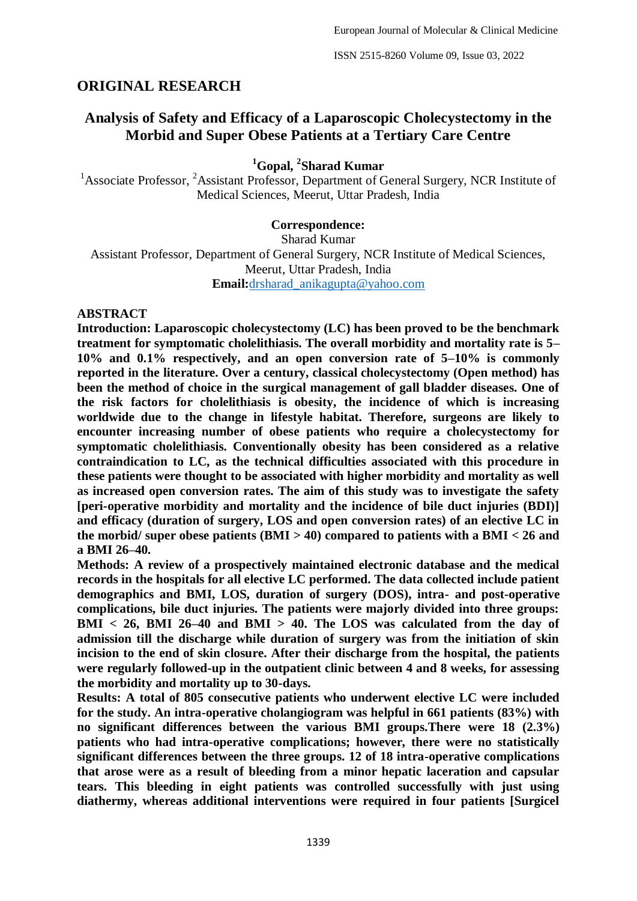ISSN 2515-8260 Volume 09, Issue 03, 2022

## **ORIGINAL RESEARCH**

# **Analysis of Safety and Efficacy of a Laparoscopic Cholecystectomy in the Morbid and Super Obese Patients at a Tertiary Care Centre**

## **<sup>1</sup>Gopal, <sup>2</sup> Sharad Kumar**

<sup>1</sup>Associate Professor, <sup>2</sup>Assistant Professor, Department of General Surgery, NCR Institute of Medical Sciences, Meerut, Uttar Pradesh, India

## **Correspondence:**

Sharad Kumar

Assistant Professor, Department of General Surgery, NCR Institute of Medical Sciences, Meerut, Uttar Pradesh, India **Email:**[drsharad\\_anikagupta@yahoo.com](mailto:drsharad_anikagupta@yahoo.com)

## **ABSTRACT**

**Introduction: Laparoscopic cholecystectomy (LC) has been proved to be the benchmark treatment for symptomatic cholelithiasis. The overall morbidity and mortality rate is 5– 10% and 0.1% respectively, and an open conversion rate of 5–10% is commonly reported in the literature. Over a century, classical cholecystectomy (Open method) has been the method of choice in the surgical management of gall bladder diseases. One of the risk factors for cholelithiasis is obesity, the incidence of which is increasing worldwide due to the change in lifestyle habitat. Therefore, surgeons are likely to encounter increasing number of obese patients who require a cholecystectomy for symptomatic cholelithiasis. Conventionally obesity has been considered as a relative contraindication to LC, as the technical difficulties associated with this procedure in these patients were thought to be associated with higher morbidity and mortality as well as increased open conversion rates. The aim of this study was to investigate the safety [peri-operative morbidity and mortality and the incidence of bile duct injuries (BDI)] and efficacy (duration of surgery, LOS and open conversion rates) of an elective LC in the morbid/ super obese patients (BMI > 40) compared to patients with a BMI < 26 and a BMI 26–40.**

**Methods: A review of a prospectively maintained electronic database and the medical records in the hospitals for all elective LC performed. The data collected include patient demographics and BMI, LOS, duration of surgery (DOS), intra- and post-operative complications, bile duct injuries. The patients were majorly divided into three groups: BMI < 26, BMI 26–40 and BMI > 40. The LOS was calculated from the day of admission till the discharge while duration of surgery was from the initiation of skin incision to the end of skin closure. After their discharge from the hospital, the patients were regularly followed-up in the outpatient clinic between 4 and 8 weeks, for assessing the morbidity and mortality up to 30-days.** 

**Results: A total of 805 consecutive patients who underwent elective LC were included for the study. An intra-operative cholangiogram was helpful in 661 patients (83%) with no significant differences between the various BMI groups.There were 18 (2.3%) patients who had intra-operative complications; however, there were no statistically significant differences between the three groups. 12 of 18 intra-operative complications that arose were as a result of bleeding from a minor hepatic laceration and capsular tears. This bleeding in eight patients was controlled successfully with just using diathermy, whereas additional interventions were required in four patients [Surgicel**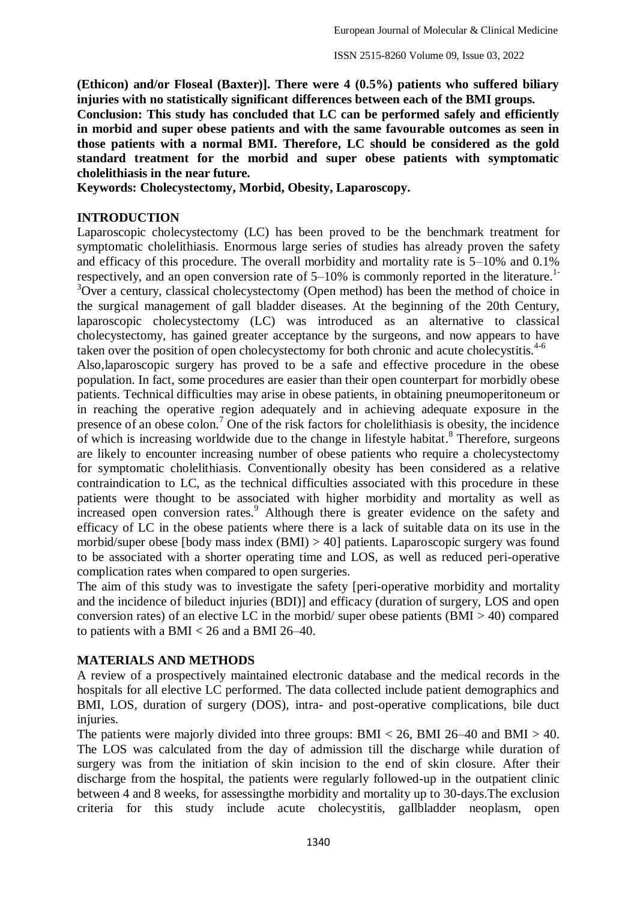**(Ethicon) and/or Floseal (Baxter)]. There were 4 (0.5%) patients who suffered biliary injuries with no statistically significant differences between each of the BMI groups.** 

**Conclusion: This study has concluded that LC can be performed safely and efficiently in morbid and super obese patients and with the same favourable outcomes as seen in those patients with a normal BMI. Therefore, LC should be considered as the gold standard treatment for the morbid and super obese patients with symptomatic cholelithiasis in the near future.**

**Keywords: Cholecystectomy, Morbid, Obesity, Laparoscopy.**

### **INTRODUCTION**

Laparoscopic cholecystectomy (LC) has been proved to be the benchmark treatment for symptomatic cholelithiasis. Enormous large series of studies has already proven the safety and efficacy of this procedure. The overall morbidity and mortality rate is 5–10% and 0.1% respectively, and an open conversion rate of 5–10% is commonly reported in the literature.<sup>1</sup> <sup>3</sup>Over a century, classical cholecystectomy (Open method) has been the method of choice in the surgical management of gall bladder diseases. At the beginning of the 20th Century, laparoscopic cholecystectomy (LC) was introduced as an alternative to classical cholecystectomy, has gained greater acceptance by the surgeons, and now appears to have taken over the position of open cholecystectomy for both chronic and acute cholecystitis.<sup>4-6</sup>

Also,laparoscopic surgery has proved to be a safe and effective procedure in the obese population. In fact, some procedures are easier than their open counterpart for morbidly obese patients. Technical difficulties may arise in obese patients, in obtaining pneumoperitoneum or in reaching the operative region adequately and in achieving adequate exposure in the presence of an obese colon.<sup>7</sup> One of the risk factors for cholelithiasis is obesity, the incidence of which is increasing worldwide due to the change in lifestyle habitat.<sup>8</sup> Therefore, surgeons are likely to encounter increasing number of obese patients who require a cholecystectomy for symptomatic cholelithiasis. Conventionally obesity has been considered as a relative contraindication to LC, as the technical difficulties associated with this procedure in these patients were thought to be associated with higher morbidity and mortality as well as increased open conversion rates.<sup>9</sup> Although there is greater evidence on the safety and efficacy of LC in the obese patients where there is a lack of suitable data on its use in the morbid/super obese [body mass index (BMI) > 40] patients. Laparoscopic surgery was found to be associated with a shorter operating time and LOS, as well as reduced peri-operative complication rates when compared to open surgeries.

The aim of this study was to investigate the safety [peri-operative morbidity and mortality and the incidence of bileduct injuries (BDI)] and efficacy (duration of surgery, LOS and open conversion rates) of an elective LC in the morbid/ super obese patients  $(BMI > 40)$  compared to patients with a BMI < 26 and a BMI 26–40.

### **MATERIALS AND METHODS**

A review of a prospectively maintained electronic database and the medical records in the hospitals for all elective LC performed. The data collected include patient demographics and BMI, LOS, duration of surgery (DOS), intra- and post-operative complications, bile duct injuries.

The patients were majorly divided into three groups: BMI  $< 26$ , BMI 26–40 and BMI  $> 40$ . The LOS was calculated from the day of admission till the discharge while duration of surgery was from the initiation of skin incision to the end of skin closure. After their discharge from the hospital, the patients were regularly followed-up in the outpatient clinic between 4 and 8 weeks, for assessingthe morbidity and mortality up to 30-days.The exclusion criteria for this study include acute cholecystitis, gallbladder neoplasm, open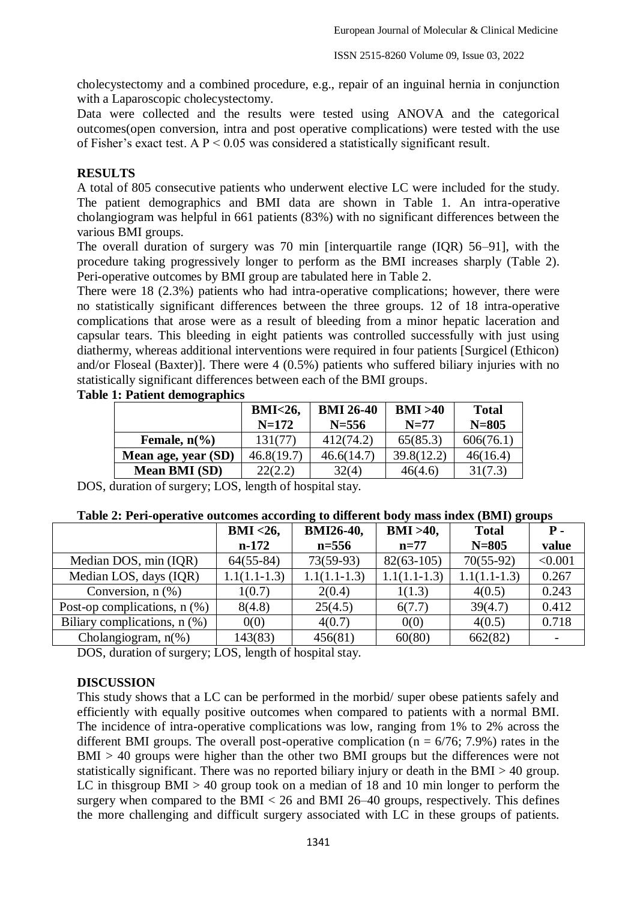cholecystectomy and a combined procedure, e.g., repair of an inguinal hernia in conjunction with a Laparoscopic cholecystectomy.

Data were collected and the results were tested using ANOVA and the categorical outcomes(open conversion, intra and post operative complications) were tested with the use of Fisher's exact test. A P < 0.05 was considered a statistically significant result.

### **RESULTS**

A total of 805 consecutive patients who underwent elective LC were included for the study. The patient demographics and BMI data are shown in Table 1. An intra-operative cholangiogram was helpful in 661 patients (83%) with no significant differences between the various BMI groups.

The overall duration of surgery was 70 min [interquartile range (IQR) 56–91], with the procedure taking progressively longer to perform as the BMI increases sharply (Table 2). Peri-operative outcomes by BMI group are tabulated here in Table 2.

There were 18 (2.3%) patients who had intra-operative complications; however, there were no statistically significant differences between the three groups. 12 of 18 intra-operative complications that arose were as a result of bleeding from a minor hepatic laceration and capsular tears. This bleeding in eight patients was controlled successfully with just using diathermy, whereas additional interventions were required in four patients [Surgicel (Ethicon) and/or Floseal (Baxter)]. There were 4 (0.5%) patients who suffered biliary injuries with no statistically significant differences between each of the BMI groups.

|                        | <b>BMI&lt;26,</b> | <b>BMI 26-40</b> | BMI > 40   | <b>Total</b> |  |
|------------------------|-------------------|------------------|------------|--------------|--|
|                        | $N=172$           | $N = 556$        | $N=77$     | $N = 805$    |  |
| Female, $n\frac{6}{6}$ | 131(77)           | 412(74.2)        | 65(85.3)   | 606(76.1)    |  |
| Mean age, year (SD)    | 46.8(19.7)        | 46.6(14.7)       | 39.8(12.2) | 46(16.4)     |  |
| <b>Mean BMI (SD)</b>   | 22(2.2)           | 32(4)            | 46(4.6)    | 31(7.3)      |  |

#### **Table 1: Patient demographics**

DOS, duration of surgery; LOS, length of hospital stay.

| Table 2: Peri-operative outcomes according to different body mass index (BMI) groups |
|--------------------------------------------------------------------------------------|
|--------------------------------------------------------------------------------------|

|                                | $BMI < 26$ ,   | <b>BMI26-40,</b> | $BMI > 40$ ,   | <b>Total</b>   | Р.      |
|--------------------------------|----------------|------------------|----------------|----------------|---------|
|                                | $n-172$        | $n = 556$        | $n=77$         | $N = 805$      | value   |
| Median DOS, min (IQR)          | $64(55-84)$    | $73(59-93)$      | $82(63-105)$   | $70(55-92)$    | < 0.001 |
| Median LOS, days (IQR)         | $1.1(1.1-1.3)$ | $1.1(1.1-1.3)$   | $1.1(1.1-1.3)$ | $1.1(1.1-1.3)$ | 0.267   |
| Conversion, $n$ $(\%)$         | 1(0.7)         | 2(0.4)           | 1(1.3)         | 4(0.5)         | 0.243   |
| Post-op complications, $n$ (%) | 8(4.8)         | 25(4.5)          | 6(7.7)         | 39(4.7)        | 0.412   |
| Biliary complications, $n$ (%) | 0(0)           | 4(0.7)           | 0(0)           | 4(0.5)         | 0.718   |
| Cholangiogram, $n$ (%)         | 143(83)        | 456(81)          | 60(80)         | 662(82)        |         |

DOS, duration of surgery; LOS, length of hospital stay.

### **DISCUSSION**

This study shows that a LC can be performed in the morbid/ super obese patients safely and efficiently with equally positive outcomes when compared to patients with a normal BMI. The incidence of intra-operative complications was low, ranging from 1% to 2% across the different BMI groups. The overall post-operative complication ( $n = 6/76$ ; 7.9%) rates in the BMI > 40 groups were higher than the other two BMI groups but the differences were not statistically significant. There was no reported biliary injury or death in the BMI > 40 group. LC in this group  $BMI > 40$  group took on a median of 18 and 10 min longer to perform the surgery when compared to the BMI  $< 26$  and BMI 26–40 groups, respectively. This defines the more challenging and difficult surgery associated with LC in these groups of patients.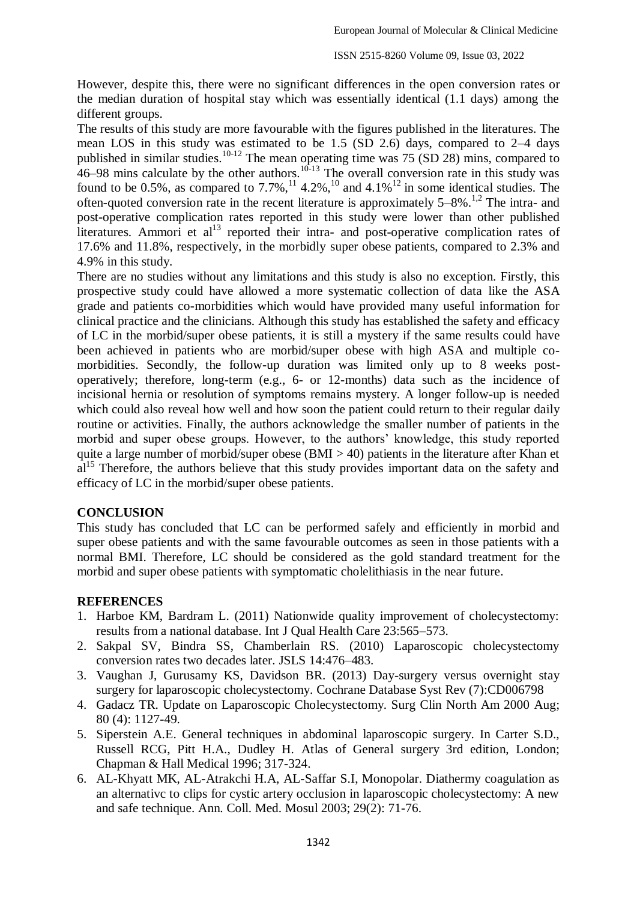However, despite this, there were no significant differences in the open conversion rates or the median duration of hospital stay which was essentially identical (1.1 days) among the different groups.

The results of this study are more favourable with the figures published in the literatures. The mean LOS in this study was estimated to be 1.5 (SD 2.6) days, compared to 2–4 days published in similar studies.<sup>10-12</sup> The mean operating time was  $75$  (SD 28) mins, compared to  $46-98$  mins calculate by the other authors.<sup>10-13</sup> The overall conversion rate in this study was found to be 0.5%, as compared to  $7.7\%$ ,<sup>11</sup>,  $4.2\%$ ,<sup>10</sup> and  $4.1\%$ <sup>12</sup> in some identical studies. The often-quoted conversion rate in the recent literature is approximately  $5-8\%$ .<sup>1,2</sup> The intra- and post-operative complication rates reported in this study were lower than other published literatures. Ammori et al<sup>13</sup> reported their intra- and post-operative complication rates of 17.6% and 11.8%, respectively, in the morbidly super obese patients, compared to 2.3% and 4.9% in this study.

There are no studies without any limitations and this study is also no exception. Firstly, this prospective study could have allowed a more systematic collection of data like the ASA grade and patients co-morbidities which would have provided many useful information for clinical practice and the clinicians. Although this study has established the safety and efficacy of LC in the morbid/super obese patients, it is still a mystery if the same results could have been achieved in patients who are morbid/super obese with high ASA and multiple comorbidities. Secondly, the follow-up duration was limited only up to 8 weeks postoperatively; therefore, long-term (e.g., 6- or 12-months) data such as the incidence of incisional hernia or resolution of symptoms remains mystery. A longer follow-up is needed which could also reveal how well and how soon the patient could return to their regular daily routine or activities. Finally, the authors acknowledge the smaller number of patients in the morbid and super obese groups. However, to the authors' knowledge, this study reported quite a large number of morbid/super obese ( $BMI > 40$ ) patients in the literature after Khan et  $al<sup>15</sup>$  Therefore, the authors believe that this study provides important data on the safety and efficacy of LC in the morbid/super obese patients.

### **CONCLUSION**

This study has concluded that LC can be performed safely and efficiently in morbid and super obese patients and with the same favourable outcomes as seen in those patients with a normal BMI. Therefore, LC should be considered as the gold standard treatment for the morbid and super obese patients with symptomatic cholelithiasis in the near future.

### **REFERENCES**

- 1. Harboe KM, Bardram L. (2011) Nationwide quality improvement of cholecystectomy: results from a national database. Int J Qual Health Care 23:565–573.
- 2. Sakpal SV, Bindra SS, Chamberlain RS. (2010) Laparoscopic cholecystectomy conversion rates two decades later. JSLS 14:476–483.
- 3. Vaughan J, Gurusamy KS, Davidson BR. (2013) Day-surgery versus overnight stay surgery for laparoscopic cholecystectomy. Cochrane Database Syst Rev (7):CD006798
- 4. Gadacz TR. Update on Laparoscopic Cholecystectomy. Surg Clin North Am 2000 Aug; 80 (4): 1127-49.
- 5. Siperstein A.E. General techniques in abdominal laparoscopic surgery. In Carter S.D., Russell RCG, Pitt H.A., Dudley H. Atlas of General surgery 3rd edition, London; Chapman & Hall Medical 1996; 317-324.
- 6. AL-Khyatt MK, AL-Atrakchi H.A, AL-Saffar S.I, Monopolar. Diathermy coagulation as an alternativc to clips for cystic artery occlusion in laparoscopic cholecystectomy: A new and safe technique. Ann. Coll. Med. Mosul 2003; 29(2): 71-76.